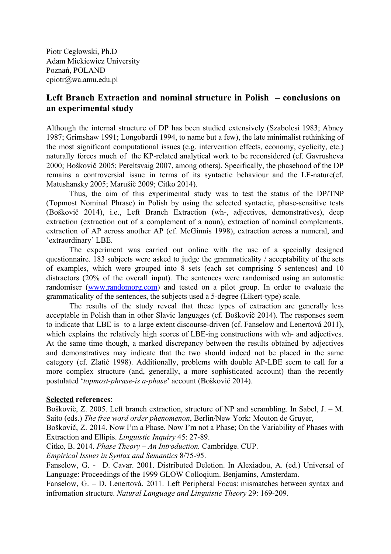Piotr Cegłowski, Ph.D Adam Mickiewicz University Poznań, POLAND cpiotr@wa.amu.edu.pl

## **Left Branch Extraction and nominal structure in Polish – conclusions on an experimental study**

Although the internal structure of DP has been studied extensively (Szabolcsi 1983; Abney 1987; Grimshaw 1991; Longobardi 1994, to name but a few), the late minimalist rethinking of the most significant computational issues (e.g. intervention effects, economy, cyclicity, etc.) naturally forces much of the KP-related analytical work to be reconsidered (cf. Gavrusheva 2000; Boškovič 2005; Pereltsvaig 2007, among others). Specifically, the phasehood of the DP remains a controversial issue in terms of its syntactic behaviour and the LF-nature(cf. Matushansky 2005; Marušič 2009; Citko 2014).

Thus, the aim of this experimental study was to test the status of the DP/TNP (Topmost Nominal Phrase) in Polish by using the selected syntactic, phase-sensitive tests (Boškovič 2014), i.e., Left Branch Extraction (wh, adjectives, demonstratives), deep extraction (extraction out of a complement of a noun), extraction of nominal complements, extraction of AP across another AP (cf. McGinnis 1998), extraction across a numeral, and 'extraordinary' LBE.

The experiment was carried out online with the use of a specially designed questionnaire. 183 subjects were asked to judge the grammaticality / acceptability of the sets of examples, which were grouped into 8 sets (each set comprising 5 sentences) and 10 distractors (20% of the overall input). The sentences were randomised using an automatic randomiser [\(www.randomorg.com](http://www.randomorg.com/)) and tested on a pilot group. In order to evaluate the grammaticality of the sentences, the subjects used a 5-degree (Likert-type) scale.

The results of the study reveal that these types of extraction are generally less acceptable in Polish than in other Slavic languages (cf. Boškovič 2014). The responses seem to indicate that LBE is to a large extent discourse-driven (cf. Fanselow and Lenertová 2011), which explains the relatively high scores of LBE-ing constructions with wh- and adjectives. At the same time though, a marked discrepancy between the results obtained by adjectives and demonstratives may indicate that the two should indeed not be placed in the same category (cf. Zlatić 1998). Additionally, problems with double APLBE seem to call for a more complex structure (and, generally, a more sophisticated account) than the recently postulated '*topmost-phrase-is a-phase*' account (Boškovič 2014).

## **Selected references**:

Boškovič, Z. 2005. Left branch extraction, structure of NP and scrambling. In Sabel, J. – M. Saito (eds.) *The free word order phenomenon*, Berlin/New York: Mouton de Gruyer,

Boškovič, Z. 2014. Now I'm a Phase, Now I'm not a Phase; On the Variability of Phases with Extraction and Ellipis. *Linguistic Inquiry* 45: 27-89.

Citko, B. 2014. *Phase Theory – An Introduction.* Cambridge. CUP.

*Empirical Issues in Syntax and Semantics* 8/7595.

Fanselow, G. - D. Cavar. 2001. Distributed Deletion. In Alexiadou, A. (ed.) Universal of Language: Proceedings of the 1999 GLOW Colloqium. Benjamins, Amsterdam.

Fanselow, G. – D. Lenertová. 2011. Left Peripheral Focus: mismatches between syntax and infromation structure. *Natural Language and Linguistic Theory* 29: 169-209.